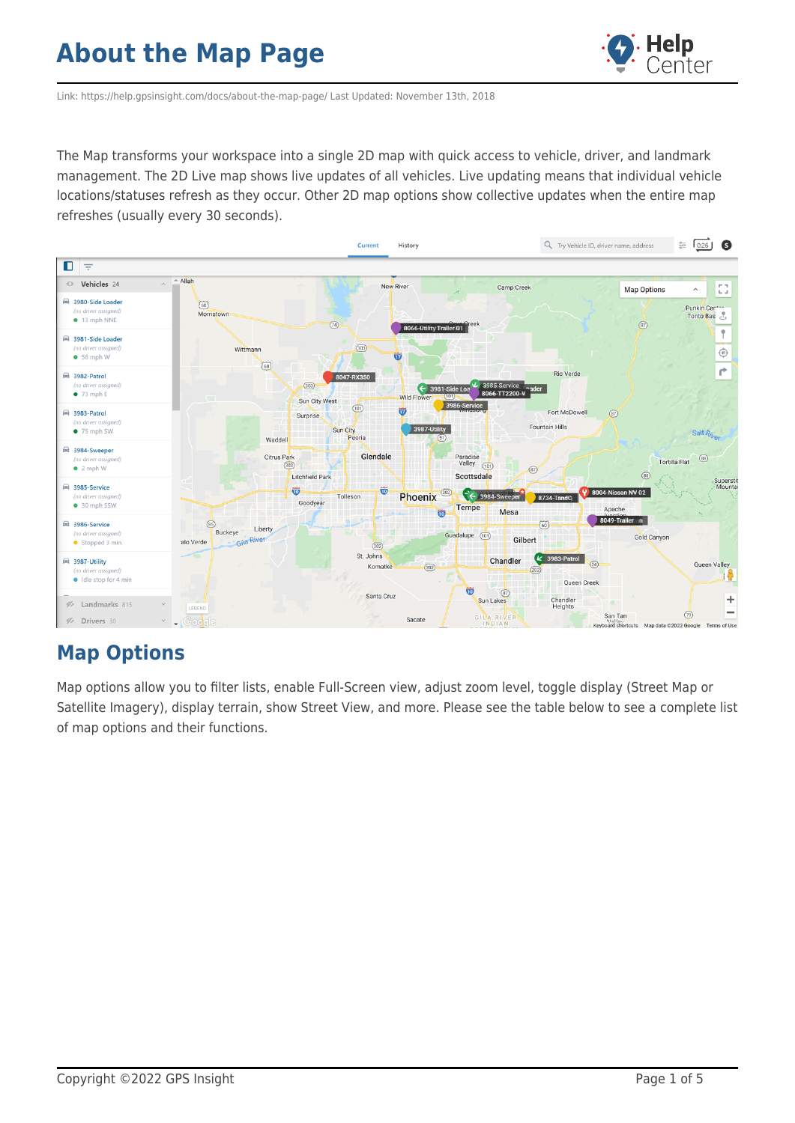

Link: https://help.gpsinsight.com/docs/about-the-map-page/ Last Updated: November 13th, 2018

The Map transforms your workspace into a single 2D map with quick access to vehicle, driver, and landmark management. The 2D Live map shows live updates of all vehicles. Live updating means that individual vehicle locations/statuses refresh as they occur. Other 2D map options show collective updates when the entire map refreshes (usually every 30 seconds).



### **Map Options**

Map options allow you to filter lists, enable Full-Screen view, adjust zoom level, toggle display (Street Map or Satellite Imagery), display terrain, show Street View, and more. Please see the table below to see a complete list of map options and their functions.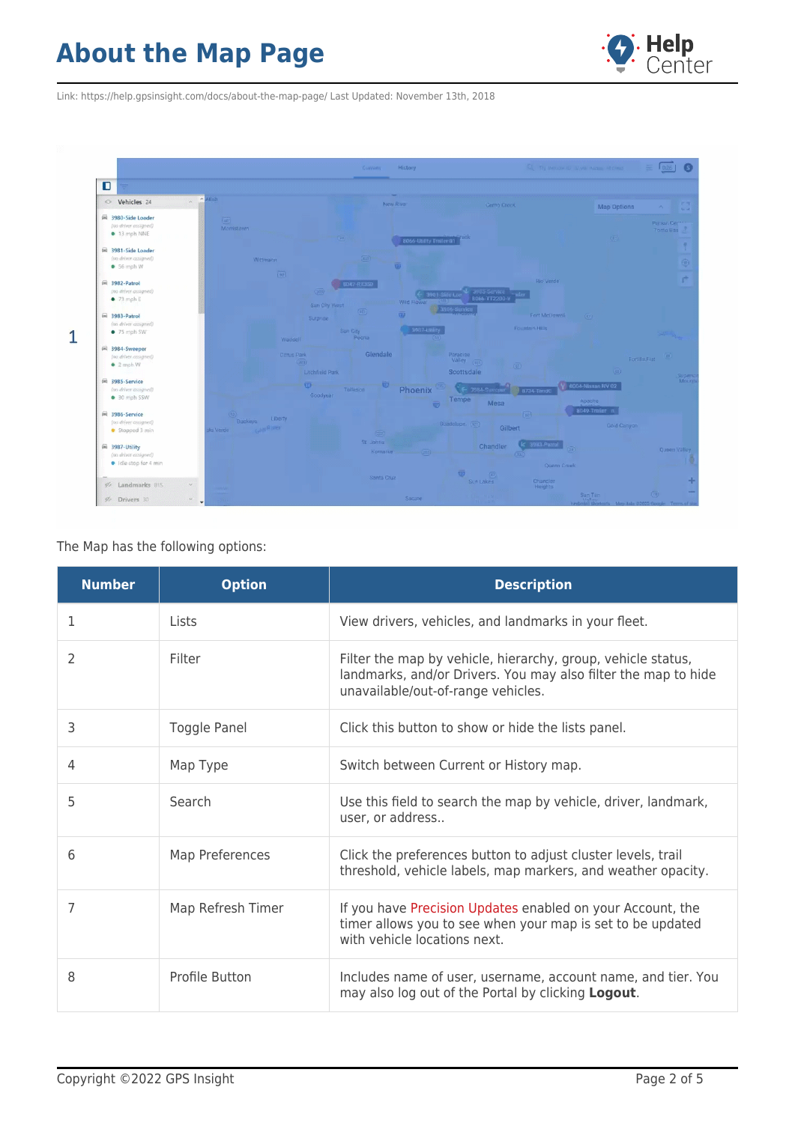

Link: https://help.gpsinsight.com/docs/about-the-map-page/ Last Updated: November 13th, 2018



#### The Map has the following options:

| <b>Number</b> | <b>Option</b>       | <b>Description</b>                                                                                                                                                   |
|---------------|---------------------|----------------------------------------------------------------------------------------------------------------------------------------------------------------------|
| 1             | Lists               | View drivers, vehicles, and landmarks in your fleet.                                                                                                                 |
| 2             | Filter              | Filter the map by vehicle, hierarchy, group, vehicle status,<br>landmarks, and/or Drivers. You may also filter the map to hide<br>unavailable/out-of-range vehicles. |
| 3             | <b>Toggle Panel</b> | Click this button to show or hide the lists panel.                                                                                                                   |
| 4             | Map Type            | Switch between Current or History map.                                                                                                                               |
| 5             | Search              | Use this field to search the map by vehicle, driver, landmark,<br>user, or address                                                                                   |
| 6             | Map Preferences     | Click the preferences button to adjust cluster levels, trail<br>threshold, vehicle labels, map markers, and weather opacity.                                         |
| 7             | Map Refresh Timer   | If you have Precision Updates enabled on your Account, the<br>timer allows you to see when your map is set to be updated<br>with vehicle locations next.             |
| 8             | Profile Button      | Includes name of user, username, account name, and tier. You<br>may also log out of the Portal by clicking Logout.                                                   |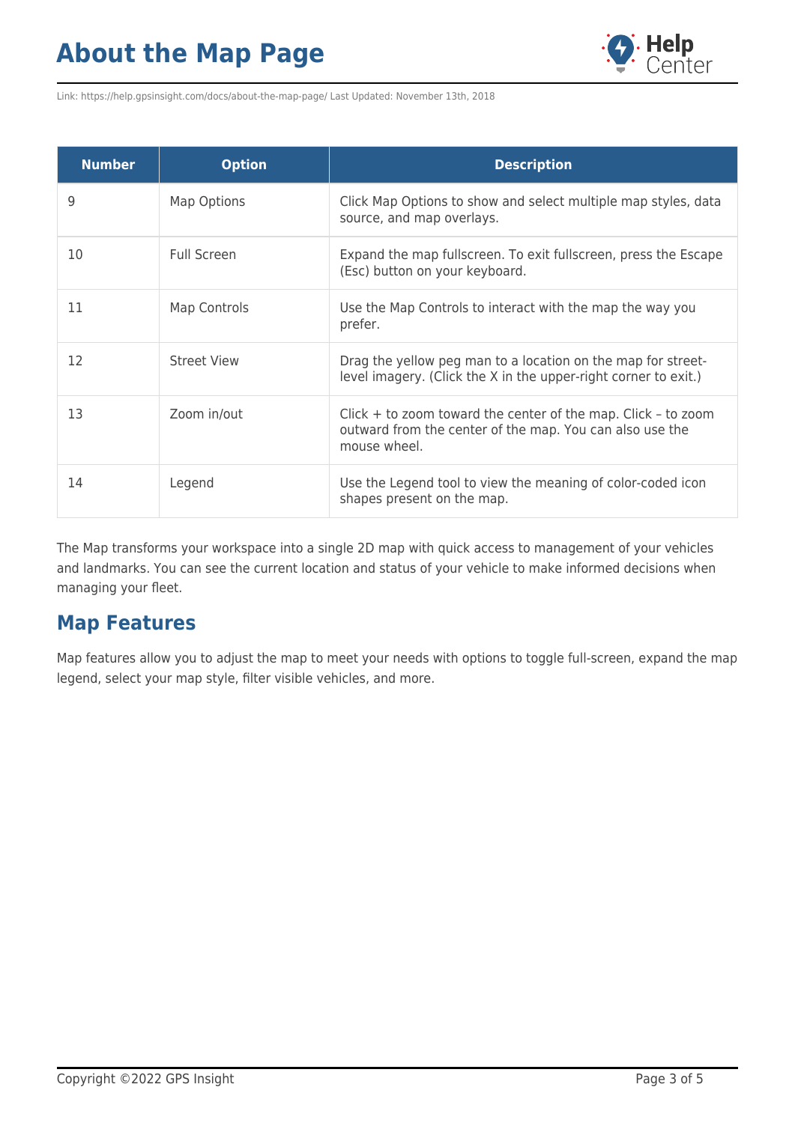

Link: https://help.gpsinsight.com/docs/about-the-map-page/ Last Updated: November 13th, 2018

| <b>Number</b> | <b>Option</b>      | <b>Description</b>                                                                                                                          |
|---------------|--------------------|---------------------------------------------------------------------------------------------------------------------------------------------|
| 9             | Map Options        | Click Map Options to show and select multiple map styles, data<br>source, and map overlays.                                                 |
| 10            | <b>Full Screen</b> | Expand the map fullscreen. To exit fullscreen, press the Escape<br>(Esc) button on your keyboard.                                           |
| 11            | Map Controls       | Use the Map Controls to interact with the map the way you<br>prefer.                                                                        |
| 12            | <b>Street View</b> | Drag the yellow peg man to a location on the map for street-<br>level imagery. (Click the X in the upper-right corner to exit.)             |
| 13            | Zoom in/out        | $Click + to zoom toward the center of the map. Click - to zoom$<br>outward from the center of the map. You can also use the<br>mouse wheel. |
| 14            | Legend             | Use the Legend tool to view the meaning of color-coded icon<br>shapes present on the map.                                                   |

The Map transforms your workspace into a single 2D map with quick access to management of your vehicles and landmarks. You can see the current location and status of your vehicle to make informed decisions when managing your fleet.

### **Map Features**

Map features allow you to adjust the map to meet your needs with options to toggle full-screen, expand the map legend, select your map style, filter visible vehicles, and more.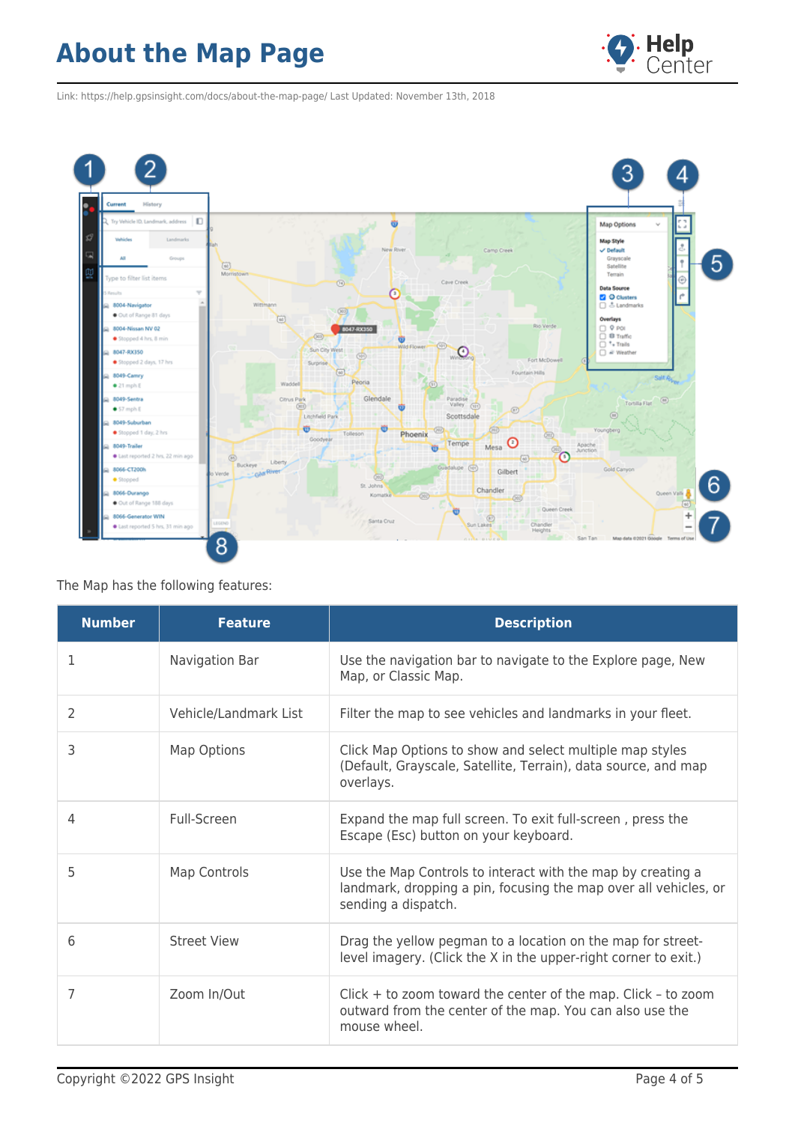

Link: https://help.gpsinsight.com/docs/about-the-map-page/ Last Updated: November 13th, 2018



#### The Map has the following features:

| <b>Number</b>  | <b>Feature</b>        | <b>Description</b>                                                                                                                                     |
|----------------|-----------------------|--------------------------------------------------------------------------------------------------------------------------------------------------------|
| 1              | Navigation Bar        | Use the navigation bar to navigate to the Explore page, New<br>Map, or Classic Map.                                                                    |
| $\overline{2}$ | Vehicle/Landmark List | Filter the map to see vehicles and landmarks in your fleet.                                                                                            |
| 3              | <b>Map Options</b>    | Click Map Options to show and select multiple map styles<br>(Default, Grayscale, Satellite, Terrain), data source, and map<br>overlays.                |
| 4              | Full-Screen           | Expand the map full screen. To exit full-screen, press the<br>Escape (Esc) button on your keyboard.                                                    |
| 5              | <b>Map Controls</b>   | Use the Map Controls to interact with the map by creating a<br>landmark, dropping a pin, focusing the map over all vehicles, or<br>sending a dispatch. |
| 6              | <b>Street View</b>    | Drag the yellow pegman to a location on the map for street-<br>level imagery. (Click the X in the upper-right corner to exit.)                         |
| 7              | Zoom In/Out           | $Click + to zoom toward the center of the map. Click - to zoom$<br>outward from the center of the map. You can also use the<br>mouse wheel.            |